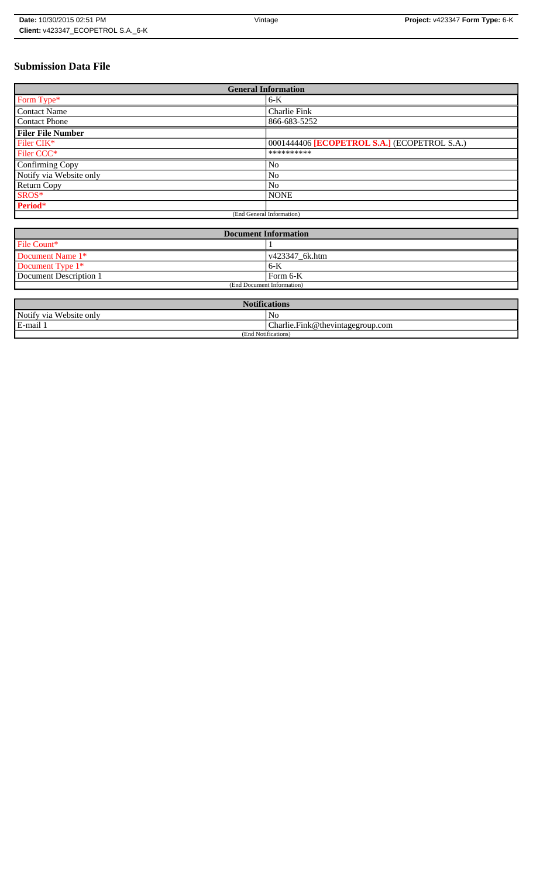# **Submission Data File**

| <b>General Information</b> |                                              |
|----------------------------|----------------------------------------------|
| Form Type*                 | $6-K$                                        |
| <b>Contact Name</b>        | Charlie Fink                                 |
| <b>Contact Phone</b>       | 866-683-5252                                 |
| <b>Filer File Number</b>   |                                              |
| Filer CIK*                 | 0001444406 [ECOPETROL S.A.] (ECOPETROL S.A.) |
| Filer CCC <sup>*</sup>     | **********                                   |
| Confirming Copy            | No                                           |
| Notify via Website only    | N <sub>o</sub>                               |
| <b>Return Copy</b>         | N <sub>o</sub>                               |
| SROS*                      | <b>NONE</b>                                  |
| Period*                    |                                              |
| (End General Information)  |                                              |

| <b>Document Information</b> |                        |
|-----------------------------|------------------------|
| File Count*                 |                        |
| Document Name 1*            | $\sqrt{423347}$ 6k.htm |
| Document Type 1*            | 6-K                    |
| Document Description 1      | l Form 6-K             |
| (End Document Information)  |                        |

| <b>Notifications</b>    |                                  |
|-------------------------|----------------------------------|
| Notify via Website only | N <sub>0</sub>                   |
| E-mail 1                | Charlie.Fink@thevintagegroup.com |
| (End Notifications)     |                                  |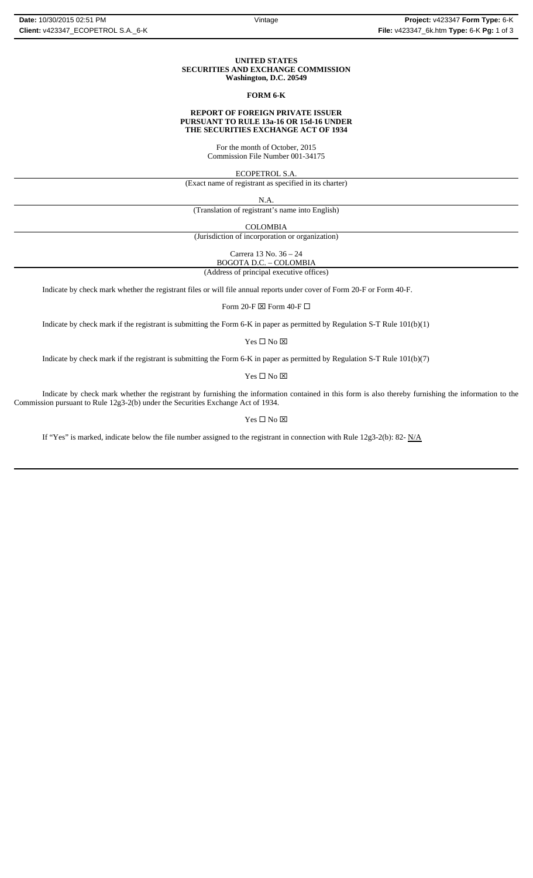### **UNITED STATES SECURITIES AND EXCHANGE COMMISSION Washington, D.C. 20549**

### **FORM 6-K**

### **REPORT OF FOREIGN PRIVATE ISSUER PURSUANT TO RULE 13a-16 OR 15d-16 UNDER THE SECURITIES EXCHANGE ACT OF 1934**

For the month of October, 2015 Commission File Number 001-34175

ECOPETROL S.A.

(Exact name of registrant as specified in its charter)

N.A.

(Translation of registrant's name into English)

COLOMBIA

(Jurisdiction of incorporation or organization)

Carrera 13 No. 36 – 24 BOGOTA D.C. – COLOMBIA

(Address of principal executive offices)

Indicate by check mark whether the registrant files or will file annual reports under cover of Form 20-F or Form 40-F.

Form 20-F  $\boxtimes$  Form 40-F  $\Box$ 

Indicate by check mark if the registrant is submitting the Form 6-K in paper as permitted by Regulation S-T Rule 101(b)(1)

Yes $\square$  No  $\square$ 

Indicate by check mark if the registrant is submitting the Form 6-K in paper as permitted by Regulation S-T Rule 101(b)(7)

 $\mathbf{Yes} \ \square \ \mathbf{No} \ \boxtimes$ 

Indicate by check mark whether the registrant by furnishing the information contained in this form is also thereby furnishing the information to the Commission pursuant to Rule 12g3-2(b) under the Securities Exchange Act of 1934.

### $Yes \Box No \boxtimes$

If "Yes" is marked, indicate below the file number assigned to the registrant in connection with Rule 12g3-2(b): 82-  $N/A$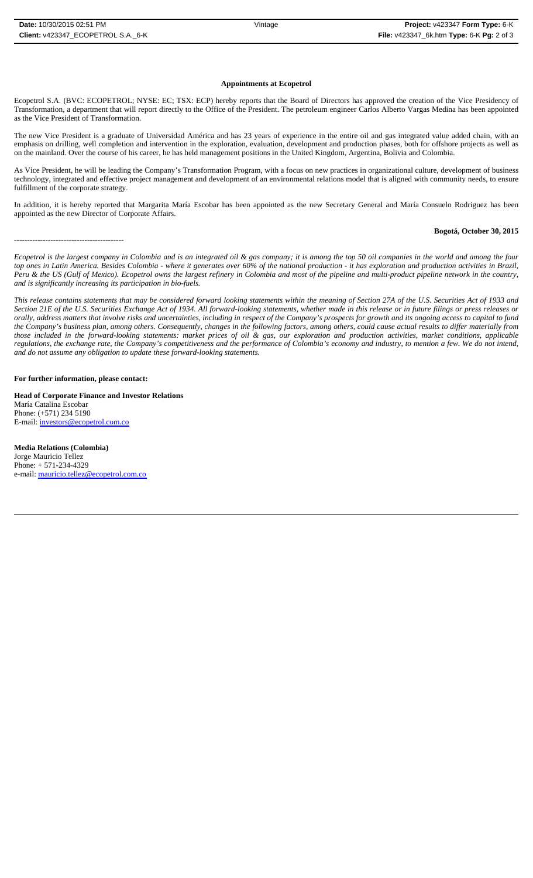### **Appointments at Ecopetrol**

Ecopetrol S.A. (BVC: ECOPETROL; NYSE: EC; TSX: ECP) hereby reports that the Board of Directors has approved the creation of the Vice Presidency of Transformation, a department that will report directly to the Office of the President. The petroleum engineer Carlos Alberto Vargas Medina has been appointed as the Vice President of Transformation.

The new Vice President is a graduate of Universidad América and has 23 years of experience in the entire oil and gas integrated value added chain, with an emphasis on drilling, well completion and intervention in the exploration, evaluation, development and production phases, both for offshore projects as well as on the mainland. Over the course of his career, he has held management positions in the United Kingdom, Argentina, Bolivia and Colombia.

As Vice President, he will be leading the Company's Transformation Program, with a focus on new practices in organizational culture, development of business technology, integrated and effective project management and development of an environmental relations model that is aligned with community needs, to ensure fulfillment of the corporate strategy.

In addition, it is hereby reported that Margarita María Escobar has been appointed as the new Secretary General and María Consuelo Rodriguez has been appointed as the new Director of Corporate Affairs.

------------------------------------------

#### **Bogotá, October 30, 2015**

*Ecopetrol is the largest company in Colombia and is an integrated oil & gas company; it is among the top 50 oil companies in the world and among the four top ones in Latin America. Besides Colombia - where it generates over 60% of the national production - it has exploration and production activities in Brazil, Peru & the US (Gulf of Mexico). Ecopetrol owns the largest refinery in Colombia and most of the pipeline and multi-product pipeline network in the country, and is significantly increasing its participation in bio-fuels.*

*This release contains statements that may be considered forward looking statements within the meaning of Section 27A of the U.S. Securities Act of 1933 and Section 21E of the U.S. Securities Exchange Act of 1934. All forward-looking statements, whether made in this release or in future filings or press releases or orally, address matters that involve risks and uncertainties, including in respect of the Company's prospects for growth and its ongoing access to capital to fund the Company's business plan, among others. Consequently, changes in the following factors, among others, could cause actual results to differ materially from those included in the forward-looking statements: market prices of oil & gas, our exploration and production activities, market conditions, applicable regulations, the exchange rate, the Company's competitiveness and the performance of Colombia's economy and industry, to mention a few. We do not intend, and do not assume any obligation to update these forward-looking statements.*

#### **For further information, please contact:**

**Head of Corporate Finance and Investor Relations** María Catalina Escobar Phone: (+571) 234 5190 E-mail: investors@ecopetrol.com.co

**Media Relations (Colombia)**  Jorge Mauricio Tellez Phone: + 571-234-4329 e-mail: mauricio.tellez@ecopetrol.com.co